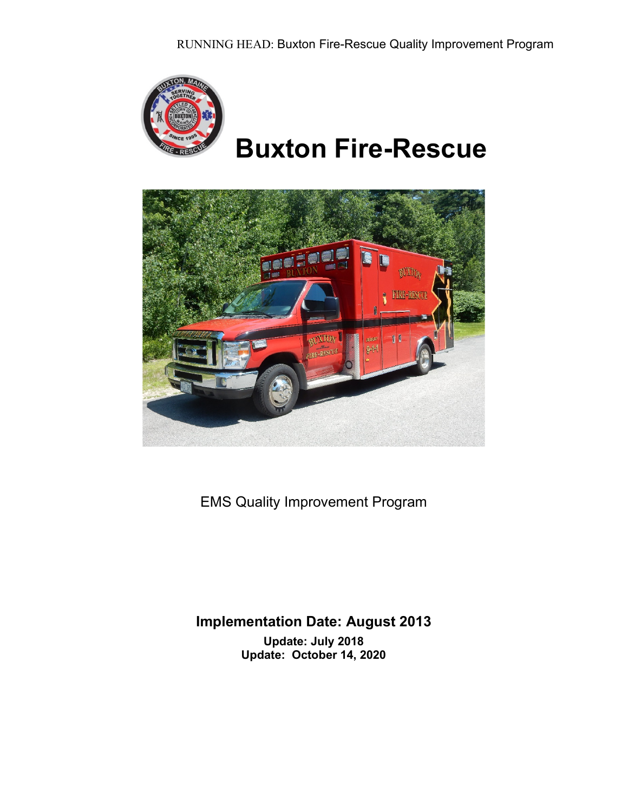

# **Buxton Fire-Rescue**



EMS Quality Improvement Program

## **Implementation Date: August 2013 Update: July 2018 Update: October 14, 2020**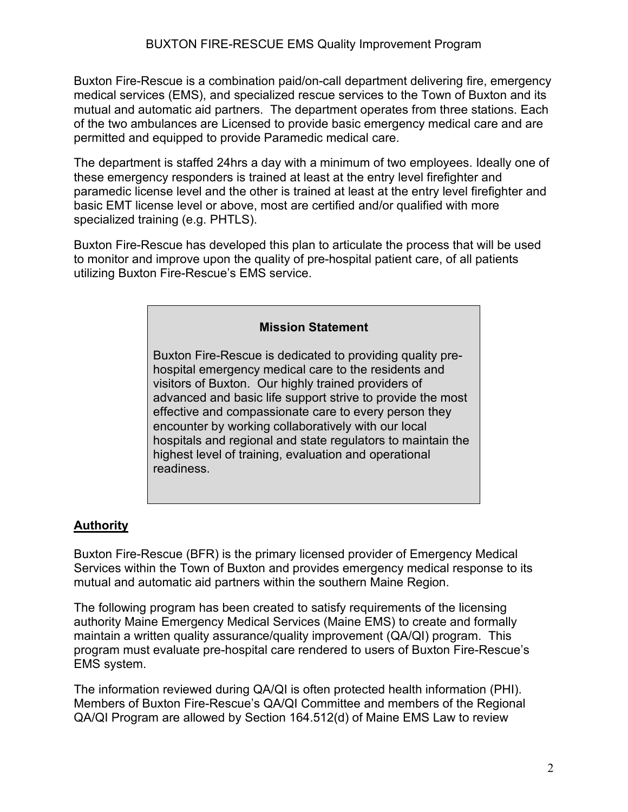Buxton Fire-Rescue is a combination paid/on-call department delivering fire, emergency medical services (EMS), and specialized rescue services to the Town of Buxton and its mutual and automatic aid partners. The department operates from three stations. Each of the two ambulances are Licensed to provide basic emergency medical care and are permitted and equipped to provide Paramedic medical care.

The department is staffed 24hrs a day with a minimum of two employees. Ideally one of these emergency responders is trained at least at the entry level firefighter and paramedic license level and the other is trained at least at the entry level firefighter and basic EMT license level or above, most are certified and/or qualified with more specialized training (e.g. PHTLS).

Buxton Fire-Rescue has developed this plan to articulate the process that will be used to monitor and improve upon the quality of pre-hospital patient care, of all patients utilizing Buxton Fire-Rescue's EMS service.

#### **Mission Statement**

Buxton Fire-Rescue is dedicated to providing quality prehospital emergency medical care to the residents and visitors of Buxton. Our highly trained providers of advanced and basic life support strive to provide the most effective and compassionate care to every person they encounter by working collaboratively with our local hospitals and regional and state regulators to maintain the highest level of training, evaluation and operational readiness.

#### **Authority**

Buxton Fire-Rescue (BFR) is the primary licensed provider of Emergency Medical Services within the Town of Buxton and provides emergency medical response to its mutual and automatic aid partners within the southern Maine Region.

The following program has been created to satisfy requirements of the licensing authority Maine Emergency Medical Services (Maine EMS) to create and formally maintain a written quality assurance/quality improvement (QA/QI) program. This program must evaluate pre-hospital care rendered to users of Buxton Fire-Rescue's EMS system.

The information reviewed during QA/QI is often protected health information (PHI). Members of Buxton Fire-Rescue's QA/QI Committee and members of the Regional QA/QI Program are allowed by Section 164.512(d) of Maine EMS Law to review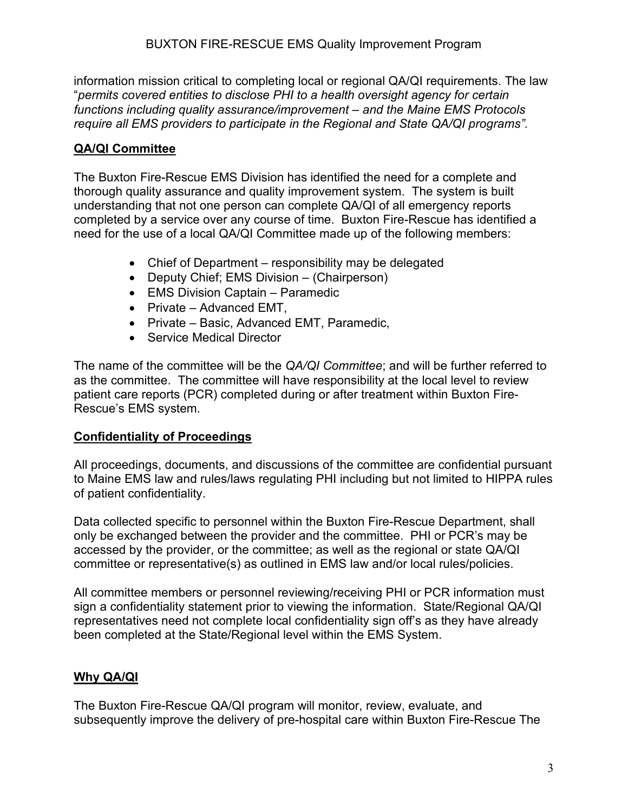information mission critical to completing local or regional QA/QI requirements. The law "*permits covered entities to disclose PHI to a health oversight agency for certain functions including quality assurance/improvement – and the Maine EMS Protocols require all EMS providers to participate in the Regional and State QA/QI programs".*

## **QA/QI Committee**

The Buxton Fire-Rescue EMS Division has identified the need for a complete and thorough quality assurance and quality improvement system. The system is built understanding that not one person can complete QA/QI of all emergency reports completed by a service over any course of time. Buxton Fire-Rescue has identified a need for the use of a local QA/QI Committee made up of the following members:

- Chief of Department responsibility may be delegated
- Deputy Chief; EMS Division (Chairperson)
- EMS Division Captain Paramedic
- Private Advanced EMT,
- Private Basic, Advanced EMT, Paramedic,
- Service Medical Director

The name of the committee will be the *QA/QI Committee*; and will be further referred to as the committee. The committee will have responsibility at the local level to review patient care reports (PCR) completed during or after treatment within Buxton Fire-Rescue's EMS system.

## **Confidentiality of Proceedings**

All proceedings, documents, and discussions of the committee are confidential pursuant to Maine EMS law and rules/laws regulating PHI including but not limited to HIPPA rules of patient confidentiality.

Data collected specific to personnel within the Buxton Fire-Rescue Department, shall only be exchanged between the provider and the committee. PHI or PCR's may be accessed by the provider, or the committee; as well as the regional or state QA/QI committee or representative(s) as outlined in EMS law and/or local rules/policies.

All committee members or personnel reviewing/receiving PHI or PCR information must sign a confidentiality statement prior to viewing the information. State/Regional QA/QI representatives need not complete local confidentiality sign off's as they have already been completed at the State/Regional level within the EMS System.

## **Why QA/QI**

The Buxton Fire-Rescue QA/QI program will monitor, review, evaluate, and subsequently improve the delivery of pre-hospital care within Buxton Fire-Rescue The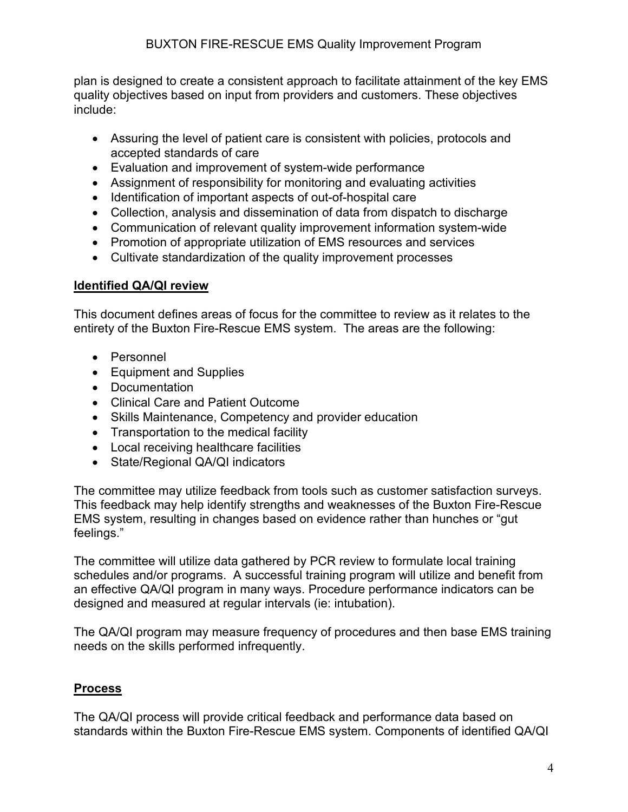plan is designed to create a consistent approach to facilitate attainment of the key EMS quality objectives based on input from providers and customers. These objectives include:

- Assuring the level of patient care is consistent with policies, protocols and accepted standards of care
- Evaluation and improvement of system-wide performance
- Assignment of responsibility for monitoring and evaluating activities
- Identification of important aspects of out-of-hospital care
- Collection, analysis and dissemination of data from dispatch to discharge
- Communication of relevant quality improvement information system-wide
- Promotion of appropriate utilization of EMS resources and services
- Cultivate standardization of the quality improvement processes

#### **Identified QA/QI review**

This document defines areas of focus for the committee to review as it relates to the entirety of the Buxton Fire-Rescue EMS system. The areas are the following:

- Personnel
- Equipment and Supplies
- Documentation
- Clinical Care and Patient Outcome
- Skills Maintenance, Competency and provider education
- Transportation to the medical facility
- Local receiving healthcare facilities
- State/Regional QA/QI indicators

The committee may utilize feedback from tools such as customer satisfaction surveys. This feedback may help identify strengths and weaknesses of the Buxton Fire-Rescue EMS system, resulting in changes based on evidence rather than hunches or "gut feelings."

The committee will utilize data gathered by PCR review to formulate local training schedules and/or programs. A successful training program will utilize and benefit from an effective QA/QI program in many ways. Procedure performance indicators can be designed and measured at regular intervals (ie: intubation).

The QA/QI program may measure frequency of procedures and then base EMS training needs on the skills performed infrequently.

## **Process**

The QA/QI process will provide critical feedback and performance data based on standards within the Buxton Fire-Rescue EMS system. Components of identified QA/QI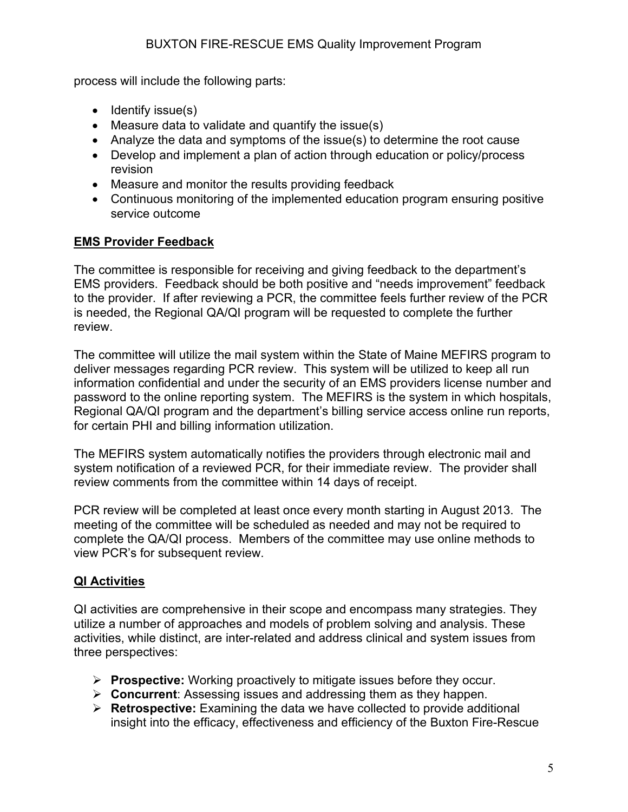process will include the following parts:

- Identify issue(s)
- Measure data to validate and quantify the issue(s)
- Analyze the data and symptoms of the issue(s) to determine the root cause
- Develop and implement a plan of action through education or policy/process revision
- Measure and monitor the results providing feedback
- Continuous monitoring of the implemented education program ensuring positive service outcome

### **EMS Provider Feedback**

The committee is responsible for receiving and giving feedback to the department's EMS providers. Feedback should be both positive and "needs improvement" feedback to the provider. If after reviewing a PCR, the committee feels further review of the PCR is needed, the Regional QA/QI program will be requested to complete the further review.

The committee will utilize the mail system within the State of Maine MEFIRS program to deliver messages regarding PCR review. This system will be utilized to keep all run information confidential and under the security of an EMS providers license number and password to the online reporting system. The MEFIRS is the system in which hospitals, Regional QA/QI program and the department's billing service access online run reports, for certain PHI and billing information utilization.

The MEFIRS system automatically notifies the providers through electronic mail and system notification of a reviewed PCR, for their immediate review. The provider shall review comments from the committee within 14 days of receipt.

PCR review will be completed at least once every month starting in August 2013. The meeting of the committee will be scheduled as needed and may not be required to complete the QA/QI process. Members of the committee may use online methods to view PCR's for subsequent review.

## **QI Activities**

QI activities are comprehensive in their scope and encompass many strategies. They utilize a number of approaches and models of problem solving and analysis. These activities, while distinct, are inter-related and address clinical and system issues from three perspectives:

- **Prospective:** Working proactively to mitigate issues before they occur.
- **Concurrent**: Assessing issues and addressing them as they happen.
- **Retrospective:** Examining the data we have collected to provide additional insight into the efficacy, effectiveness and efficiency of the Buxton Fire-Rescue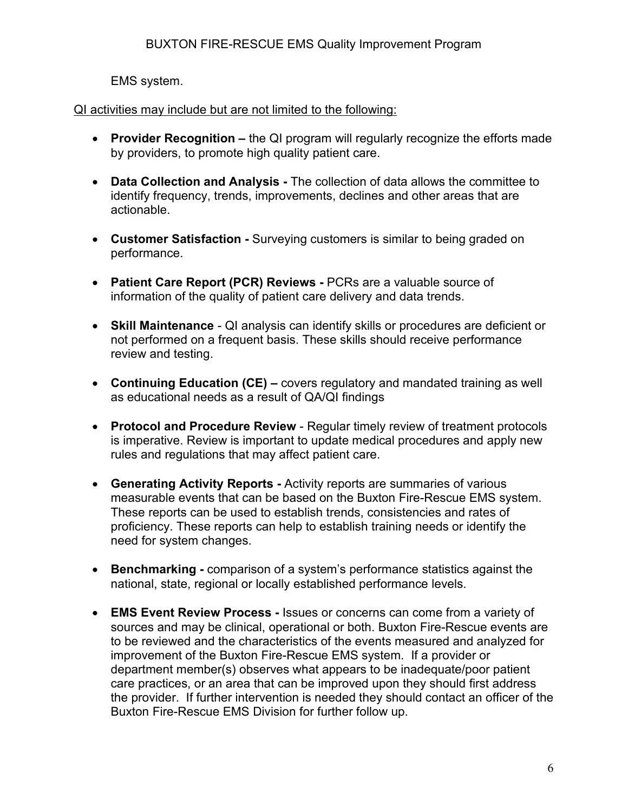EMS system.

### QI activities may include but are not limited to the following:

- **Provider Recognition –** the QI program will regularly recognize the efforts made by providers, to promote high quality patient care.
- **Data Collection and Analysis -** The collection of data allows the committee to identify frequency, trends, improvements, declines and other areas that are actionable.
- **Customer Satisfaction -** Surveying customers is similar to being graded on performance.
- **Patient Care Report (PCR) Reviews -** PCRs are a valuable source of information of the quality of patient care delivery and data trends.
- **Skill Maintenance**  QI analysis can identify skills or procedures are deficient or not performed on a frequent basis. These skills should receive performance review and testing.
- **Continuing Education (CE) –** covers regulatory and mandated training as well as educational needs as a result of QA/QI findings
- **Protocol and Procedure Review**  Regular timely review of treatment protocols is imperative. Review is important to update medical procedures and apply new rules and regulations that may affect patient care.
- **Generating Activity Reports -** Activity reports are summaries of various measurable events that can be based on the Buxton Fire-Rescue EMS system. These reports can be used to establish trends, consistencies and rates of proficiency. These reports can help to establish training needs or identify the need for system changes.
- **Benchmarking -** comparison of a system's performance statistics against the national, state, regional or locally established performance levels.
- **EMS Event Review Process -** Issues or concerns can come from a variety of sources and may be clinical, operational or both. Buxton Fire-Rescue events are to be reviewed and the characteristics of the events measured and analyzed for improvement of the Buxton Fire-Rescue EMS system. If a provider or department member(s) observes what appears to be inadequate/poor patient care practices, or an area that can be improved upon they should first address the provider. If further intervention is needed they should contact an officer of the Buxton Fire-Rescue EMS Division for further follow up.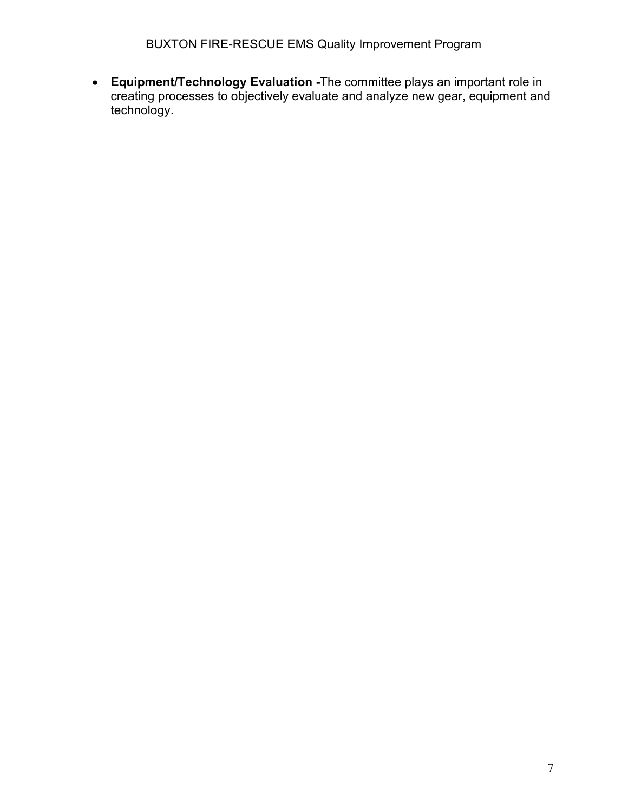• **Equipment/Technology Evaluation -**The committee plays an important role in creating processes to objectively evaluate and analyze new gear, equipment and technology.